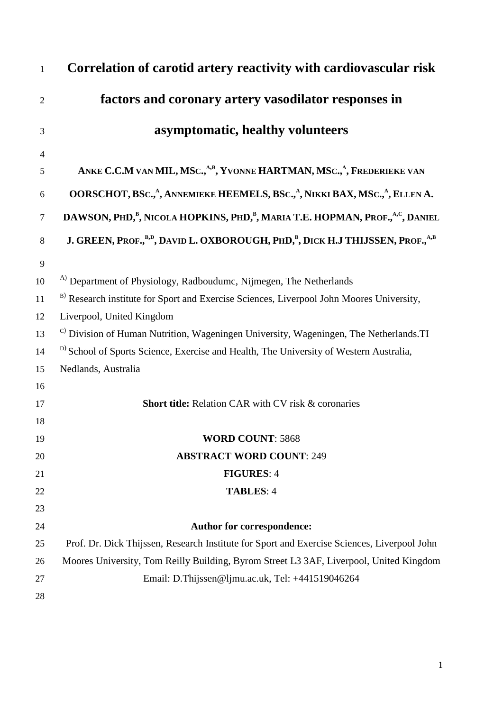| $\mathbf{1}$   | Correlation of carotid artery reactivity with cardiovascular risk                                                  |
|----------------|--------------------------------------------------------------------------------------------------------------------|
| $\overline{2}$ | factors and coronary artery vasodilator responses in                                                               |
| 3              | asymptomatic, healthy volunteers                                                                                   |
| $\overline{4}$ |                                                                                                                    |
| 5              | ANKE C.C.M VAN MIL, MSC., <sup>A,B</sup> , YVONNE HARTMAN, MSC., <sup>A</sup> , FREDERIEKE VAN                     |
| 6              | OORSCHOT, BSc., <sup>A</sup> , ANNEMIEKE HEEMELS, BSc., <sup>A</sup> , NIKKI BAX, MSc., <sup>A</sup> , ELLEN A.    |
| $\tau$         | DAWSON, PHD, <sup>B</sup> , NICOLA HOPKINS, PHD, <sup>B</sup> , MARIA T.E. HOPMAN, PROF., <sup>A,C</sup> , DANIEL  |
| $8\,$          | J. GREEN, PROF., <sup>B,D</sup> , DAVID L. OXBOROUGH, PHD, <sup>B</sup> , DICK H.J THIJSSEN, PROF., <sup>A,B</sup> |
| 9              |                                                                                                                    |
| 10             | <sup>A)</sup> Department of Physiology, Radboudumc, Nijmegen, The Netherlands                                      |
| 11             | B) Research institute for Sport and Exercise Sciences, Liverpool John Moores University,                           |
| 12             | Liverpool, United Kingdom                                                                                          |
| 13             | <sup>C)</sup> Division of Human Nutrition, Wageningen University, Wageningen, The Netherlands.TI                   |
| 14             | <sup>D)</sup> School of Sports Science, Exercise and Health, The University of Western Australia,                  |
| 15             | Nedlands, Australia                                                                                                |
| 16             |                                                                                                                    |
| 17             | <b>Short title:</b> Relation CAR with CV risk & coronaries                                                         |
| 18             |                                                                                                                    |
| 19             | <b>WORD COUNT: 5868</b>                                                                                            |
| 20             | <b>ABSTRACT WORD COUNT: 249</b>                                                                                    |
| 21             | <b>FIGURES: 4</b>                                                                                                  |
| 22             | <b>TABLES: 4</b>                                                                                                   |
| 23             |                                                                                                                    |
| 24             | Author for correspondence:                                                                                         |
| 25             | Prof. Dr. Dick Thijssen, Research Institute for Sport and Exercise Sciences, Liverpool John                        |
| 26             | Moores University, Tom Reilly Building, Byrom Street L3 3AF, Liverpool, United Kingdom                             |
| 27             | Email: D.Thijssen@ljmu.ac.uk, Tel: +441519046264                                                                   |
| 28             |                                                                                                                    |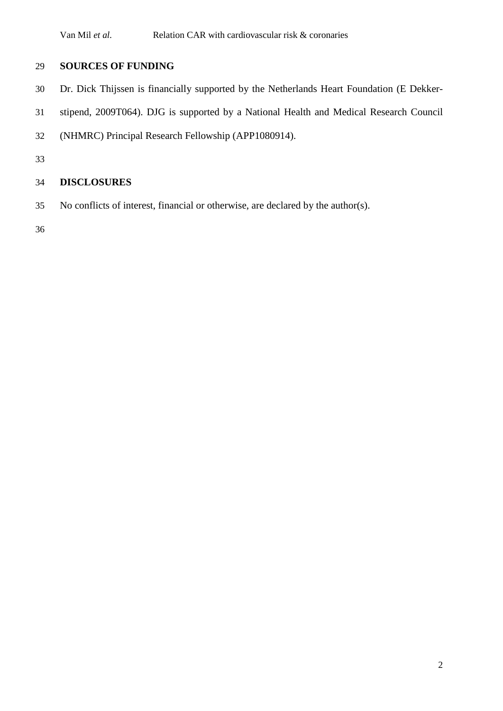## **SOURCES OF FUNDING**

- Dr. Dick Thijssen is financially supported by the Netherlands Heart Foundation (E Dekker-
- stipend, 2009T064). DJG is supported by a National Health and Medical Research Council
- (NHMRC) Principal Research Fellowship (APP1080914).

# **DISCLOSURES**

No conflicts of interest, financial or otherwise, are declared by the author(s).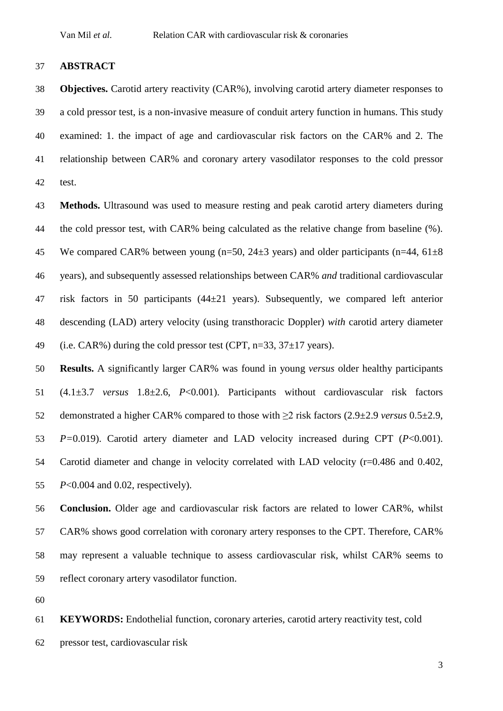#### **ABSTRACT**

 **Objectives.** Carotid artery reactivity (CAR%), involving carotid artery diameter responses to a cold pressor test, is a non-invasive measure of conduit artery function in humans. This study examined: 1. the impact of age and cardiovascular risk factors on the CAR% and 2. The relationship between CAR% and coronary artery vasodilator responses to the cold pressor test.

 **Methods.** Ultrasound was used to measure resting and peak carotid artery diameters during the cold pressor test, with CAR% being calculated as the relative change from baseline (%). 45 We compared CAR% between young (n=50,  $24\pm 3$  years) and older participants (n=44,  $61\pm 8$ ) years), and subsequently assessed relationships between CAR% *and* traditional cardiovascular risk factors in 50 participants (44±21 years). Subsequently, we compared left anterior descending (LAD) artery velocity (using transthoracic Doppler) *with* carotid artery diameter 49 (i.e. CAR%) during the cold pressor test (CPT,  $n=33$ ,  $37\pm17$  years).

 **Results.** A significantly larger CAR% was found in young *versus* older healthy participants (4.1±3.7 *versus* 1.8±2.6, *P*<0.001). Participants without cardiovascular risk factors demonstrated a higher CAR% compared to those with ≥2 risk factors (2.9±2.9 *versus* 0.5±2.9, *P=*0.019). Carotid artery diameter and LAD velocity increased during CPT (*P*<0.001). Carotid diameter and change in velocity correlated with LAD velocity (r=0.486 and 0.402, *P*<0.004 and 0.02, respectively).

 **Conclusion.** Older age and cardiovascular risk factors are related to lower CAR%, whilst CAR% shows good correlation with coronary artery responses to the CPT. Therefore, CAR% may represent a valuable technique to assess cardiovascular risk, whilst CAR% seems to reflect coronary artery vasodilator function.

 **KEYWORDS:** Endothelial function, coronary arteries, carotid artery reactivity test, cold pressor test, cardiovascular risk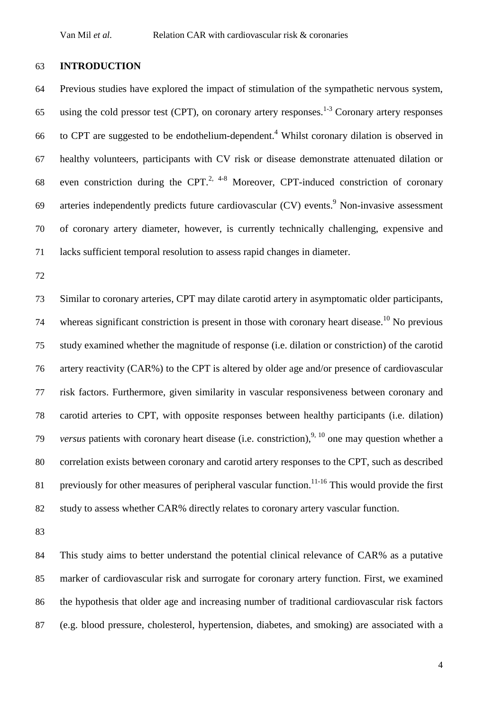#### **INTRODUCTION**

 Previous studies have explored the impact of stimulation of the sympathetic nervous system, 65 using the cold pressor test (CPT), on coronary artery responses.<sup>1-3</sup> Coronary artery responses 66 to CPT are suggested to be endothelium-dependent.<sup>4</sup> Whilst coronary dilation is observed in healthy volunteers, participants with CV risk or disease demonstrate attenuated dilation or 68 even constriction during the CPT.<sup>2, 4-8</sup> Moreover, CPT-induced constriction of coronary 69 arteries independently predicts future cardiovascular  $(CV)$  events. Non-invasive assessment of coronary artery diameter, however, is currently technically challenging, expensive and lacks sufficient temporal resolution to assess rapid changes in diameter.

 Similar to coronary arteries, CPT may dilate carotid artery in asymptomatic older participants, 74 whereas significant constriction is present in those with coronary heart disease.<sup>10</sup> No previous study examined whether the magnitude of response (i.e. dilation or constriction) of the carotid artery reactivity (CAR%) to the CPT is altered by older age and/or presence of cardiovascular risk factors. Furthermore, given similarity in vascular responsiveness between coronary and carotid arteries to CPT, with opposite responses between healthy participants (i.e. dilation) *versus* patients with coronary heart disease (i.e. constriction),  $9, 10$  one may question whether a correlation exists between coronary and carotid artery responses to the CPT, such as described 81 previously for other measures of peripheral vascular function.<sup>11-16</sup> This would provide the first study to assess whether CAR% directly relates to coronary artery vascular function.

 This study aims to better understand the potential clinical relevance of CAR% as a putative marker of cardiovascular risk and surrogate for coronary artery function. First, we examined the hypothesis that older age and increasing number of traditional cardiovascular risk factors (e.g. blood pressure, cholesterol, hypertension, diabetes, and smoking) are associated with a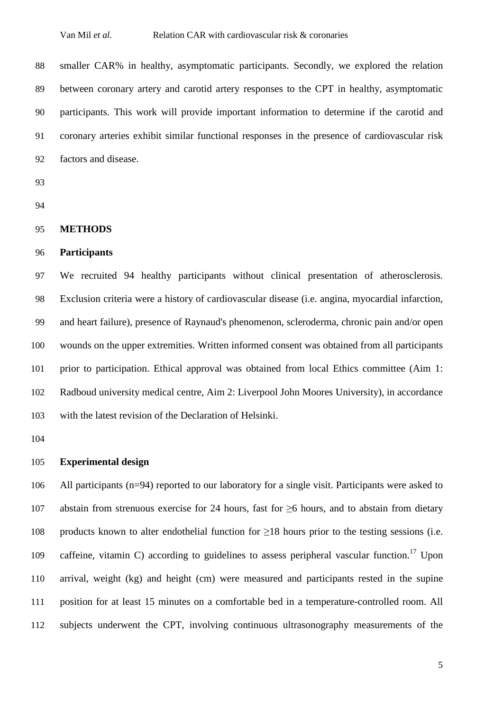smaller CAR% in healthy, asymptomatic participants. Secondly, we explored the relation between coronary artery and carotid artery responses to the CPT in healthy, asymptomatic participants. This work will provide important information to determine if the carotid and coronary arteries exhibit similar functional responses in the presence of cardiovascular risk factors and disease.

- 
- 

#### **METHODS**

#### **Participants**

 We recruited 94 healthy participants without clinical presentation of atherosclerosis. Exclusion criteria were a history of cardiovascular disease (i.e. angina, myocardial infarction, and heart failure), presence of Raynaud's phenomenon, scleroderma, chronic pain and/or open wounds on the upper extremities. Written informed consent was obtained from all participants prior to participation. Ethical approval was obtained from local Ethics committee (Aim 1: Radboud university medical centre, Aim 2: Liverpool John Moores University), in accordance with the latest revision of the Declaration of Helsinki.

#### **Experimental design**

 All participants (n=94) reported to our laboratory for a single visit. Participants were asked to abstain from strenuous exercise for 24 hours, fast for ≥6 hours, and to abstain from dietary products known to alter endothelial function for ≥18 hours prior to the testing sessions (i.e. 109 caffeine, vitamin C) according to guidelines to assess peripheral vascular function.<sup>17</sup> Upon arrival, weight (kg) and height (cm) were measured and participants rested in the supine position for at least 15 minutes on a comfortable bed in a temperature-controlled room. All subjects underwent the CPT, involving continuous ultrasonography measurements of the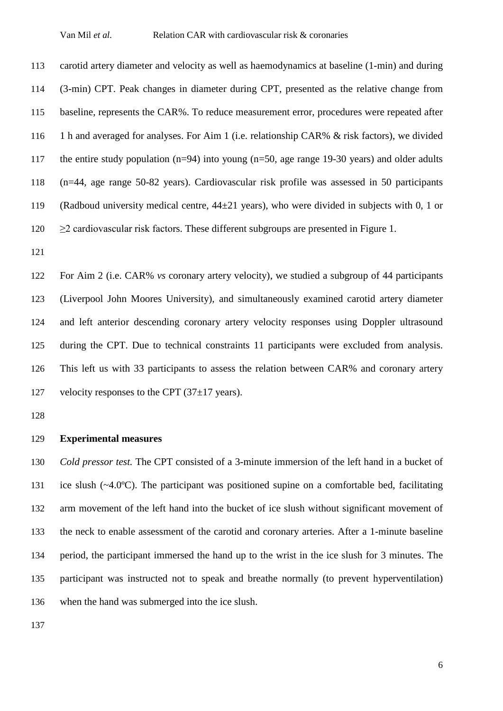carotid artery diameter and velocity as well as haemodynamics at baseline (1-min) and during (3-min) CPT. Peak changes in diameter during CPT, presented as the relative change from baseline, represents the CAR%. To reduce measurement error, procedures were repeated after 1 h and averaged for analyses. For Aim 1 (i.e. relationship CAR% & risk factors), we divided the entire study population (n=94) into young (n=50, age range 19-30 years) and older adults (n=44, age range 50-82 years). Cardiovascular risk profile was assessed in 50 participants (Radboud university medical centre, 44±21 years), who were divided in subjects with 0, 1 or  $\geq$  2 cardiovascular risk factors. These different subgroups are presented in Figure 1.

 For Aim 2 (i.e. CAR% *vs* coronary artery velocity), we studied a subgroup of 44 participants (Liverpool John Moores University), and simultaneously examined carotid artery diameter and left anterior descending coronary artery velocity responses using Doppler ultrasound during the CPT. Due to technical constraints 11 participants were excluded from analysis. This left us with 33 participants to assess the relation between CAR% and coronary artery 127 velocity responses to the CPT  $(37\pm17 \text{ years})$ .

### **Experimental measures**

 *Cold pressor test.* The CPT consisted of a 3-minute immersion of the left hand in a bucket of ice slush (~4.0ºC). The participant was positioned supine on a comfortable bed, facilitating arm movement of the left hand into the bucket of ice slush without significant movement of the neck to enable assessment of the carotid and coronary arteries. After a 1-minute baseline period, the participant immersed the hand up to the wrist in the ice slush for 3 minutes. The participant was instructed not to speak and breathe normally (to prevent hyperventilation) when the hand was submerged into the ice slush.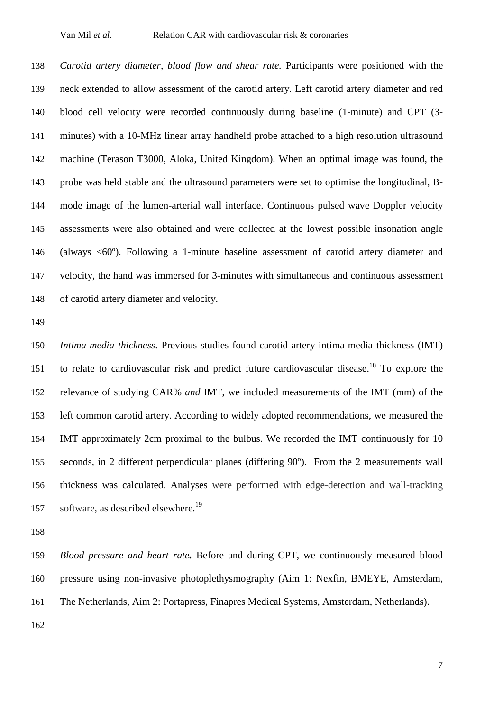*Carotid artery diameter, blood flow and shear rate.* Participants were positioned with the neck extended to allow assessment of the carotid artery. Left carotid artery diameter and red blood cell velocity were recorded continuously during baseline (1-minute) and CPT (3- minutes) with a 10-MHz linear array handheld probe attached to a high resolution ultrasound machine (Terason T3000, Aloka, United Kingdom). When an optimal image was found, the probe was held stable and the ultrasound parameters were set to optimise the longitudinal, B- mode image of the lumen-arterial wall interface. Continuous pulsed wave Doppler velocity assessments were also obtained and were collected at the lowest possible insonation angle (always <60º). Following a 1-minute baseline assessment of carotid artery diameter and velocity, the hand was immersed for 3-minutes with simultaneous and continuous assessment of carotid artery diameter and velocity.

 *Intima-media thickness*. Previous studies found carotid artery intima-media thickness (IMT) 151 to relate to cardiovascular risk and predict future cardiovascular disease.<sup>18</sup> To explore the relevance of studying CAR% *and* IMT, we included measurements of the IMT (mm) of the left common carotid artery. According to widely adopted recommendations, we measured the IMT approximately 2cm proximal to the bulbus. We recorded the IMT continuously for 10 seconds, in 2 different perpendicular planes (differing 90º). From the 2 measurements wall thickness was calculated. Analyses were performed with edge-detection and wall-tracking 157 software, as described elsewhere.<sup>19</sup>

 *Blood pressure and heart rate.* Before and during CPT, we continuously measured blood pressure using non-invasive photoplethysmography (Aim 1: Nexfin, BMEYE, Amsterdam, The Netherlands, Aim 2: Portapress, Finapres Medical Systems, Amsterdam, Netherlands).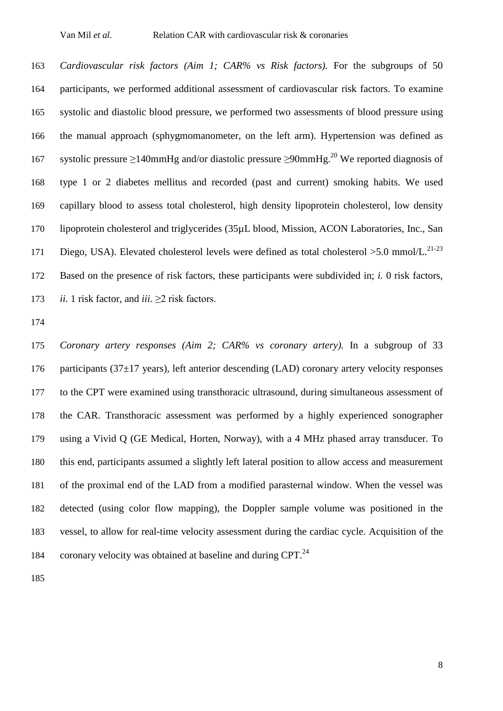*Cardiovascular risk factors (Aim 1; CAR% vs Risk factors).* For the subgroups of 50 participants, we performed additional assessment of cardiovascular risk factors. To examine systolic and diastolic blood pressure, we performed two assessments of blood pressure using the manual approach (sphygmomanometer, on the left arm). Hypertension was defined as 167 systolic pressure ≥140mmHg and/or diastolic pressure ≥90mmHg.<sup>20</sup> We reported diagnosis of type 1 or 2 diabetes mellitus and recorded (past and current) smoking habits. We used capillary blood to assess total cholesterol, high density lipoprotein cholesterol, low density lipoprotein cholesterol and triglycerides (35µL blood, Mission, ACON Laboratories, Inc., San 171 Diego, USA). Elevated cholesterol levels were defined as total cholesterol  $>5.0$  mmol/L.<sup>21-23</sup> Based on the presence of risk factors, these participants were subdivided in; *i.* 0 risk factors, *ii.* 1 risk factor, and *iii.* ≥2 risk factors.

 *Coronary artery responses (Aim 2; CAR% vs coronary artery).* In a subgroup of 33 176 participants ( $37\pm17$  years), left anterior descending (LAD) coronary artery velocity responses to the CPT were examined using transthoracic ultrasound, during simultaneous assessment of the CAR. Transthoracic assessment was performed by a highly experienced sonographer using a Vivid Q (GE Medical, Horten, Norway), with a 4 MHz phased array transducer. To this end, participants assumed a slightly left lateral position to allow access and measurement of the proximal end of the LAD from a modified parasternal window. When the vessel was detected (using color flow mapping), the Doppler sample volume was positioned in the vessel, to allow for real-time velocity assessment during the cardiac cycle. Acquisition of the 184 coronary velocity was obtained at baseline and during CPT.<sup>24</sup>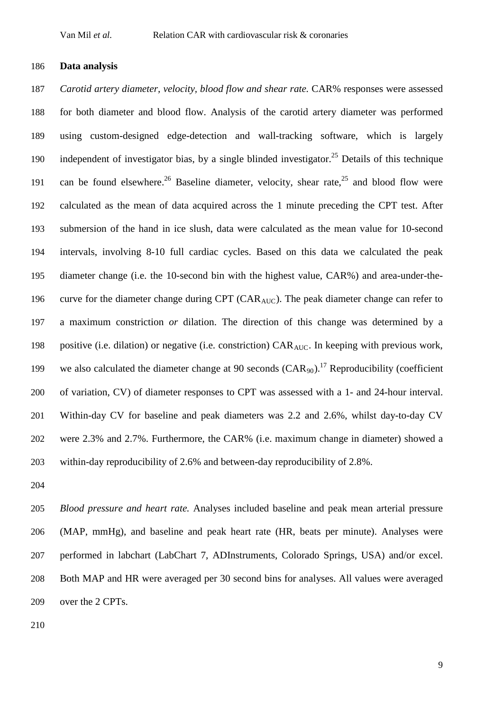#### **Data analysis**

 *Carotid artery diameter, velocity, blood flow and shear rate.* CAR% responses were assessed for both diameter and blood flow. Analysis of the carotid artery diameter was performed using custom-designed edge-detection and wall-tracking software, which is largely 190 independent of investigator bias, by a single blinded investigator.<sup>25</sup> Details of this technique 191 can be found elsewhere.<sup>26</sup> Baseline diameter, velocity, shear rate,<sup>25</sup> and blood flow were calculated as the mean of data acquired across the 1 minute preceding the CPT test. After submersion of the hand in ice slush, data were calculated as the mean value for 10-second intervals, involving 8-10 full cardiac cycles. Based on this data we calculated the peak diameter change (i.e. the 10-second bin with the highest value, CAR%) and area-under-the-196 curve for the diameter change during CPT (CAR<sub>AUC</sub>). The peak diameter change can refer to a maximum constriction *or* dilation. The direction of this change was determined by a 198 positive (i.e. dilation) or negative (i.e. constriction) CAR<sub>AUC</sub>. In keeping with previous work, 199 we also calculated the diameter change at 90 seconds  $(CAR_{90})$ .<sup>17</sup> Reproducibility (coefficient of variation, CV) of diameter responses to CPT was assessed with a 1- and 24-hour interval. Within-day CV for baseline and peak diameters was 2.2 and 2.6%, whilst day-to-day CV were 2.3% and 2.7%. Furthermore, the CAR% (i.e. maximum change in diameter) showed a within-day reproducibility of 2.6% and between-day reproducibility of 2.8%.

 *Blood pressure and heart rate.* Analyses included baseline and peak mean arterial pressure (MAP, mmHg), and baseline and peak heart rate (HR, beats per minute). Analyses were performed in labchart (LabChart 7, ADInstruments, Colorado Springs, USA) and/or excel. Both MAP and HR were averaged per 30 second bins for analyses. All values were averaged over the 2 CPTs.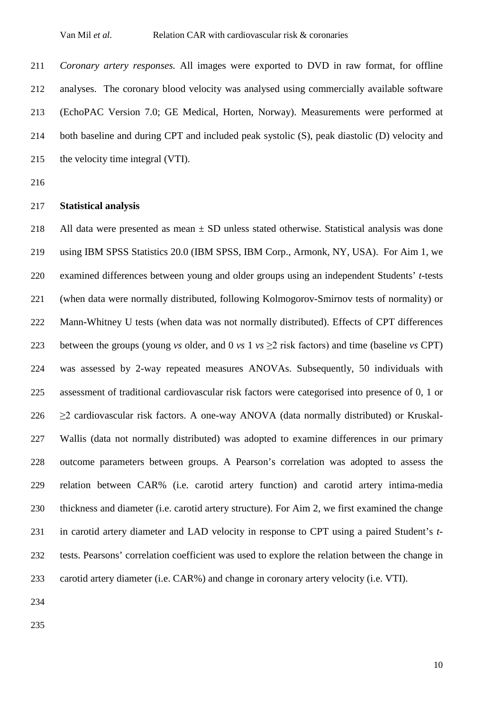*Coronary artery responses.* All images were exported to DVD in raw format, for offline analyses. The coronary blood velocity was analysed using commercially available software (EchoPAC Version 7.0; GE Medical, Horten, Norway). Measurements were performed at both baseline and during CPT and included peak systolic (S), peak diastolic (D) velocity and the velocity time integral (VTI).

#### **Statistical analysis**

218 All data were presented as mean  $\pm$  SD unless stated otherwise. Statistical analysis was done using IBM SPSS Statistics 20.0 (IBM SPSS, IBM Corp., Armonk, NY, USA). For Aim 1, we examined differences between young and older groups using an independent Students' *t*-tests (when data were normally distributed, following Kolmogorov-Smirnov tests of normality) or 222 Mann-Whitney U tests (when data was not normally distributed). Effects of CPT differences between the groups (young *vs* older, and 0 *vs* 1 *vs* ≥2 risk factors) and time (baseline *vs* CPT) was assessed by 2-way repeated measures ANOVAs. Subsequently, 50 individuals with assessment of traditional cardiovascular risk factors were categorised into presence of 0, 1 or  $\geq$  2 cardiovascular risk factors. A one-way ANOVA (data normally distributed) or Kruskal- Wallis (data not normally distributed) was adopted to examine differences in our primary outcome parameters between groups. A Pearson's correlation was adopted to assess the relation between CAR% (i.e. carotid artery function) and carotid artery intima-media thickness and diameter (i.e. carotid artery structure). For Aim 2, we first examined the change in carotid artery diameter and LAD velocity in response to CPT using a paired Student's *t*- tests. Pearsons' correlation coefficient was used to explore the relation between the change in carotid artery diameter (i.e. CAR%) and change in coronary artery velocity (i.e. VTI).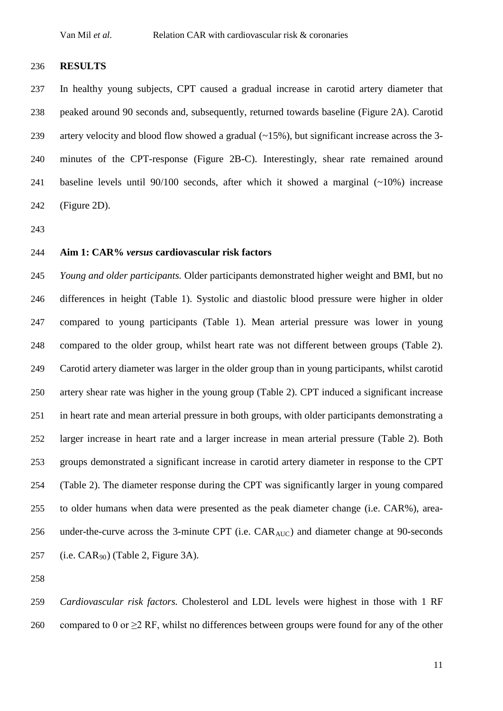#### **RESULTS**

 In healthy young subjects, CPT caused a gradual increase in carotid artery diameter that peaked around 90 seconds and, subsequently, returned towards baseline (Figure 2A). Carotid artery velocity and blood flow showed a gradual (~15%), but significant increase across the 3- minutes of the CPT-response (Figure 2B-C). Interestingly, shear rate remained around baseline levels until 90/100 seconds, after which it showed a marginal (~10%) increase (Figure 2D).

#### **Aim 1: CAR%** *versus* **cardiovascular risk factors**

 *Young and older participants.* Older participants demonstrated higher weight and BMI, but no differences in height (Table 1). Systolic and diastolic blood pressure were higher in older compared to young participants (Table 1). Mean arterial pressure was lower in young compared to the older group, whilst heart rate was not different between groups (Table 2). Carotid artery diameter was larger in the older group than in young participants, whilst carotid artery shear rate was higher in the young group (Table 2). CPT induced a significant increase in heart rate and mean arterial pressure in both groups, with older participants demonstrating a larger increase in heart rate and a larger increase in mean arterial pressure (Table 2). Both groups demonstrated a significant increase in carotid artery diameter in response to the CPT (Table 2). The diameter response during the CPT was significantly larger in young compared to older humans when data were presented as the peak diameter change (i.e. CAR%), area-256 under-the-curve across the 3-minute CPT (i.e. CAR<sub>AUC</sub>) and diameter change at 90-seconds 257 (i.e.  $CAR_{90}$ ) (Table 2, Figure 3A).

 *Cardiovascular risk factors.* Cholesterol and LDL levels were highest in those with 1 RF 260 compared to 0 or  $\geq$  2 RF, whilst no differences between groups were found for any of the other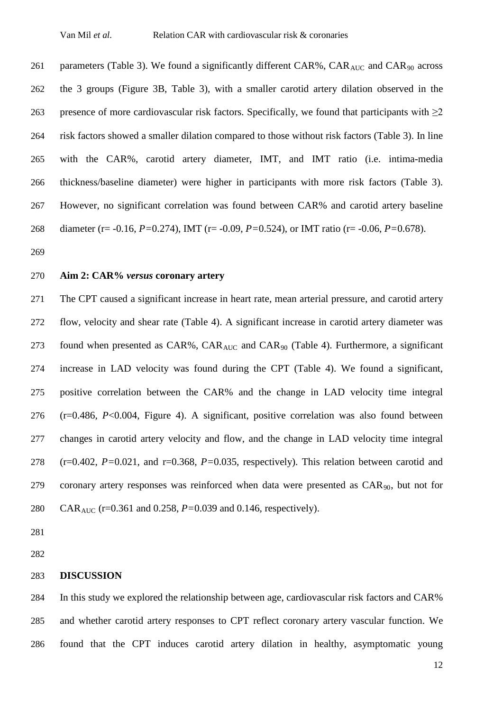261 parameters (Table 3). We found a significantly different CAR%,  $CAR_{AUC}$  and  $CAR_{90}$  across the 3 groups (Figure 3B, Table 3), with a smaller carotid artery dilation observed in the 263 presence of more cardiovascular risk factors. Specifically, we found that participants with  $\geq$ 2 risk factors showed a smaller dilation compared to those without risk factors (Table 3). In line with the CAR%, carotid artery diameter, IMT, and IMT ratio (i.e. intima-media thickness/baseline diameter) were higher in participants with more risk factors (Table 3). However, no significant correlation was found between CAR% and carotid artery baseline diameter (r= -0.16, *P=*0.274), IMT (r= -0.09, *P=*0.524), or IMT ratio (r= -0.06, *P=*0.678).

### **Aim 2: CAR%** *versus* **coronary artery**

 The CPT caused a significant increase in heart rate, mean arterial pressure, and carotid artery flow, velocity and shear rate (Table 4). A significant increase in carotid artery diameter was 273 found when presented as  $CAR\%$ ,  $CAR_{AUC}$  and  $CAR_{90}$  (Table 4). Furthermore, a significant increase in LAD velocity was found during the CPT (Table 4). We found a significant, positive correlation between the CAR% and the change in LAD velocity time integral (r=0.486, *P*<0.004, Figure 4). A significant, positive correlation was also found between changes in carotid artery velocity and flow, and the change in LAD velocity time integral (r=0.402, *P=*0.021, and r=0.368, *P=*0.035, respectively). This relation between carotid and 279 coronary artery responses was reinforced when data were presented as  $CAR_{90}$ , but not for CARAUC (r=0.361 and 0.258, *P=*0.039 and 0.146, respectively).

#### **DISCUSSION**

 In this study we explored the relationship between age, cardiovascular risk factors and CAR% and whether carotid artery responses to CPT reflect coronary artery vascular function. We found that the CPT induces carotid artery dilation in healthy, asymptomatic young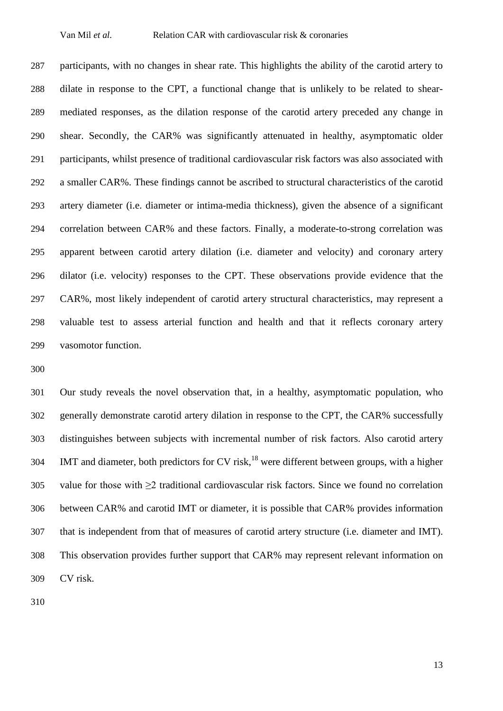participants, with no changes in shear rate. This highlights the ability of the carotid artery to dilate in response to the CPT, a functional change that is unlikely to be related to shear- mediated responses, as the dilation response of the carotid artery preceded any change in shear. Secondly, the CAR% was significantly attenuated in healthy, asymptomatic older participants, whilst presence of traditional cardiovascular risk factors was also associated with a smaller CAR%. These findings cannot be ascribed to structural characteristics of the carotid artery diameter (i.e. diameter or intima-media thickness), given the absence of a significant correlation between CAR% and these factors. Finally, a moderate-to-strong correlation was apparent between carotid artery dilation (i.e. diameter and velocity) and coronary artery dilator (i.e. velocity) responses to the CPT. These observations provide evidence that the CAR%, most likely independent of carotid artery structural characteristics, may represent a valuable test to assess arterial function and health and that it reflects coronary artery vasomotor function.

 Our study reveals the novel observation that, in a healthy, asymptomatic population, who generally demonstrate carotid artery dilation in response to the CPT, the CAR% successfully distinguishes between subjects with incremental number of risk factors. Also carotid artery IMT and diameter, both predictors for CV risk,<sup>18</sup> were different between groups, with a higher value for those with ≥2 traditional cardiovascular risk factors. Since we found no correlation between CAR% and carotid IMT or diameter, it is possible that CAR% provides information that is independent from that of measures of carotid artery structure (i.e. diameter and IMT). This observation provides further support that CAR% may represent relevant information on CV risk.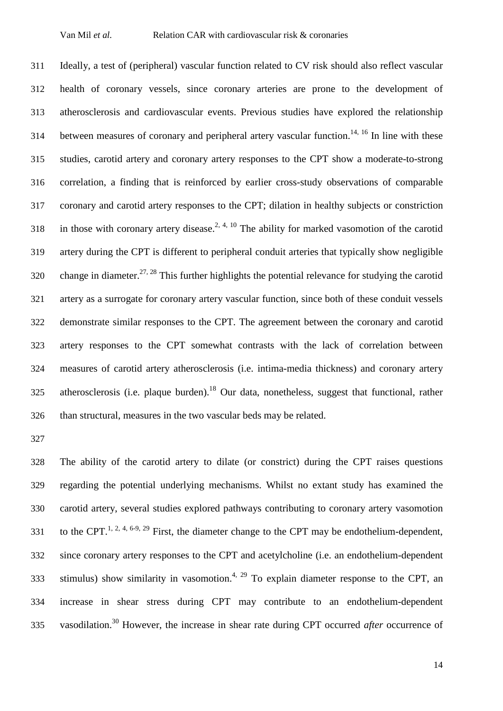Ideally, a test of (peripheral) vascular function related to CV risk should also reflect vascular health of coronary vessels, since coronary arteries are prone to the development of atherosclerosis and cardiovascular events. Previous studies have explored the relationship 314 between measures of coronary and peripheral artery vascular function.<sup>14, 16</sup> In line with these studies, carotid artery and coronary artery responses to the CPT show a moderate-to-strong correlation, a finding that is reinforced by earlier cross-study observations of comparable coronary and carotid artery responses to the CPT; dilation in healthy subjects or constriction 318 in those with coronary artery disease.<sup>2, 4, 10</sup> The ability for marked vasomotion of the carotid artery during the CPT is different to peripheral conduit arteries that typically show negligible 320 change in diameter.<sup>27, 28</sup> This further highlights the potential relevance for studying the carotid artery as a surrogate for coronary artery vascular function, since both of these conduit vessels demonstrate similar responses to the CPT. The agreement between the coronary and carotid artery responses to the CPT somewhat contrasts with the lack of correlation between measures of carotid artery atherosclerosis (i.e. intima-media thickness) and coronary artery 325 atherosclerosis (i.e. plaque burden).<sup>18</sup> Our data, nonetheless, suggest that functional, rather than structural, measures in the two vascular beds may be related.

 The ability of the carotid artery to dilate (or constrict) during the CPT raises questions regarding the potential underlying mechanisms. Whilst no extant study has examined the carotid artery, several studies explored pathways contributing to coronary artery vasomotion 331 to the CPT.<sup>1, 2, 4, 6-9, 29</sup> First, the diameter change to the CPT may be endothelium-dependent, since coronary artery responses to the CPT and acetylcholine (i.e. an endothelium-dependent 333 stimulus) show similarity in vasomotion.<sup>4, 29</sup> To explain diameter response to the CPT, an increase in shear stress during CPT may contribute to an endothelium-dependent 335 vasodilation.<sup>30</sup> However, the increase in shear rate during CPT occurred *after* occurrence of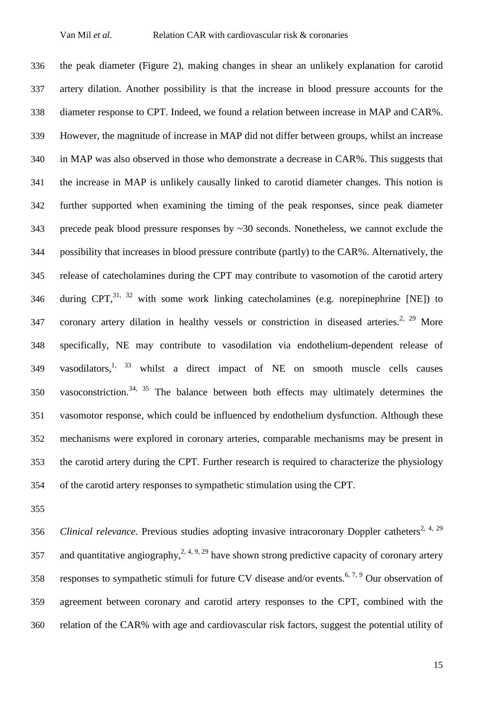the peak diameter (Figure 2), making changes in shear an unlikely explanation for carotid artery dilation. Another possibility is that the increase in blood pressure accounts for the diameter response to CPT. Indeed, we found a relation between increase in MAP and CAR%. However, the magnitude of increase in MAP did not differ between groups, whilst an increase in MAP was also observed in those who demonstrate a decrease in CAR%. This suggests that the increase in MAP is unlikely causally linked to carotid diameter changes. This notion is further supported when examining the timing of the peak responses, since peak diameter precede peak blood pressure responses by ~30 seconds. Nonetheless, we cannot exclude the possibility that increases in blood pressure contribute (partly) to the CAR%. Alternatively, the release of catecholamines during the CPT may contribute to vasomotion of the carotid artery 346 during CPT,  $31, 32$  with some work linking catecholamines (e.g. norepinephrine [NE]) to 347 coronary artery dilation in healthy vessels or constriction in diseased arteries.<sup>2, 29</sup> More specifically, NE may contribute to vasodilation via endothelium-dependent release of 349 vasodilators,<sup>1, 33</sup> whilst a direct impact of NE on smooth muscle cells causes 350 vasoconstriction.<sup>34, 35</sup> The balance between both effects may ultimately determines the vasomotor response, which could be influenced by endothelium dysfunction. Although these mechanisms were explored in coronary arteries, comparable mechanisms may be present in the carotid artery during the CPT. Further research is required to characterize the physiology of the carotid artery responses to sympathetic stimulation using the CPT.

*Clinical relevance.* Previous studies adopting invasive intracoronary Doppler catheters<sup>2, 4, 29</sup> 357 and quantitative angiography,  $2, 4, 9, 29$  have shown strong predictive capacity of coronary artery 358 responses to sympathetic stimuli for future CV disease and/or events.<sup>6, 7, 9</sup> Our observation of agreement between coronary and carotid artery responses to the CPT, combined with the relation of the CAR% with age and cardiovascular risk factors, suggest the potential utility of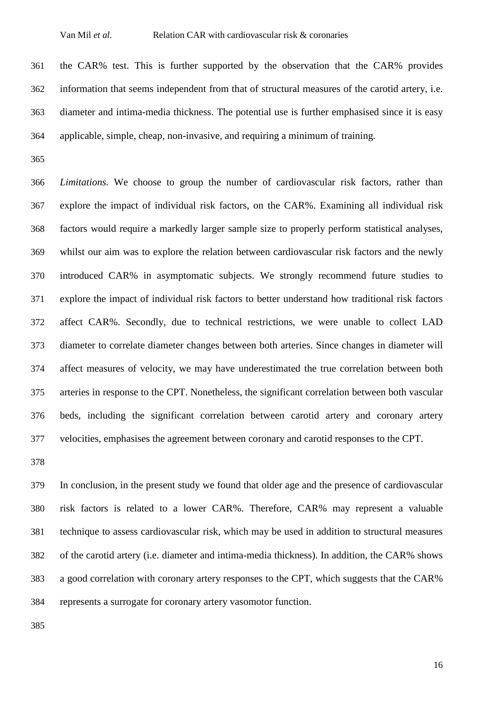the CAR% test. This is further supported by the observation that the CAR% provides information that seems independent from that of structural measures of the carotid artery, i.e. diameter and intima-media thickness. The potential use is further emphasised since it is easy applicable, simple, cheap, non-invasive, and requiring a minimum of training.

 *Limitations.* We choose to group the number of cardiovascular risk factors, rather than explore the impact of individual risk factors, on the CAR%. Examining all individual risk factors would require a markedly larger sample size to properly perform statistical analyses, whilst our aim was to explore the relation between cardiovascular risk factors and the newly introduced CAR% in asymptomatic subjects. We strongly recommend future studies to explore the impact of individual risk factors to better understand how traditional risk factors affect CAR%. Secondly, due to technical restrictions, we were unable to collect LAD diameter to correlate diameter changes between both arteries. Since changes in diameter will affect measures of velocity, we may have underestimated the true correlation between both arteries in response to the CPT. Nonetheless, the significant correlation between both vascular beds, including the significant correlation between carotid artery and coronary artery velocities, emphasises the agreement between coronary and carotid responses to the CPT.

 In conclusion, in the present study we found that older age and the presence of cardiovascular risk factors is related to a lower CAR%. Therefore, CAR% may represent a valuable technique to assess cardiovascular risk, which may be used in addition to structural measures of the carotid artery (i.e. diameter and intima-media thickness). In addition, the CAR% shows a good correlation with coronary artery responses to the CPT, which suggests that the CAR% represents a surrogate for coronary artery vasomotor function.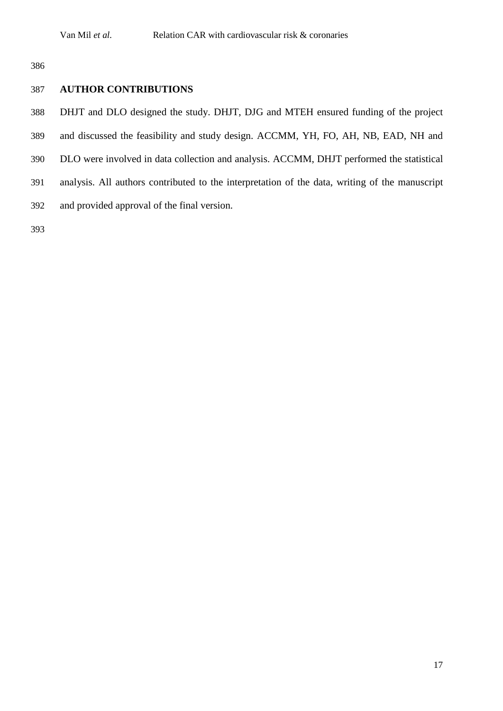# **AUTHOR CONTRIBUTIONS**

- DHJT and DLO designed the study. DHJT, DJG and MTEH ensured funding of the project
- and discussed the feasibility and study design. ACCMM, YH, FO, AH, NB, EAD, NH and
- DLO were involved in data collection and analysis. ACCMM, DHJT performed the statistical
- analysis. All authors contributed to the interpretation of the data, writing of the manuscript
- and provided approval of the final version.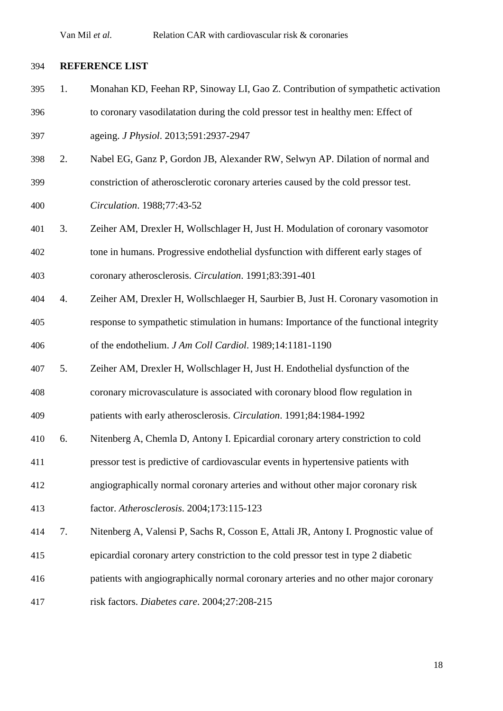### **REFERENCE LIST**

- 1. Monahan KD, Feehan RP, Sinoway LI, Gao Z. Contribution of sympathetic activation to coronary vasodilatation during the cold pressor test in healthy men: Effect of ageing. *J Physiol*. 2013;591:2937-2947
- 2. Nabel EG, Ganz P, Gordon JB, Alexander RW, Selwyn AP. Dilation of normal and
- constriction of atherosclerotic coronary arteries caused by the cold pressor test.
- *Circulation*. 1988;77:43-52
- 3. Zeiher AM, Drexler H, Wollschlager H, Just H. Modulation of coronary vasomotor tone in humans. Progressive endothelial dysfunction with different early stages of coronary atherosclerosis. *Circulation*. 1991;83:391-401
- 4. Zeiher AM, Drexler H, Wollschlaeger H, Saurbier B, Just H. Coronary vasomotion in response to sympathetic stimulation in humans: Importance of the functional integrity of the endothelium. *J Am Coll Cardiol*. 1989;14:1181-1190
- 5. Zeiher AM, Drexler H, Wollschlager H, Just H. Endothelial dysfunction of the
- coronary microvasculature is associated with coronary blood flow regulation in

patients with early atherosclerosis. *Circulation*. 1991;84:1984-1992

- 6. Nitenberg A, Chemla D, Antony I. Epicardial coronary artery constriction to cold
- pressor test is predictive of cardiovascular events in hypertensive patients with
- angiographically normal coronary arteries and without other major coronary risk
- factor. *Atherosclerosis*. 2004;173:115-123
- 7. Nitenberg A, Valensi P, Sachs R, Cosson E, Attali JR, Antony I. Prognostic value of
- epicardial coronary artery constriction to the cold pressor test in type 2 diabetic
- patients with angiographically normal coronary arteries and no other major coronary
- risk factors. *Diabetes care*. 2004;27:208-215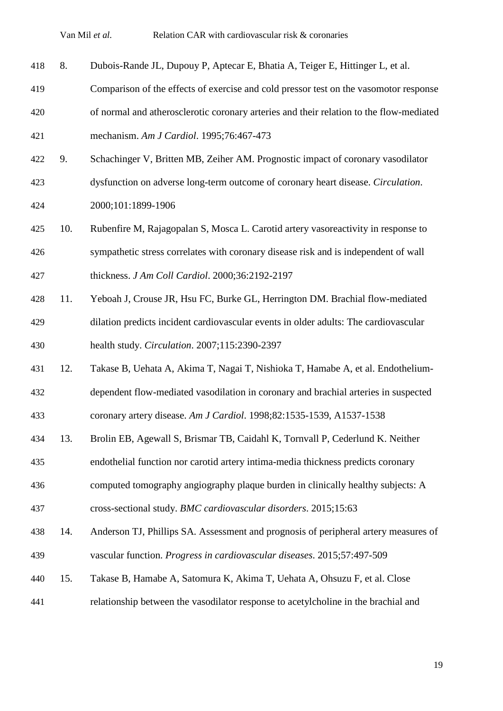8. Dubois-Rande JL, Dupouy P, Aptecar E, Bhatia A, Teiger E, Hittinger L, et al.

- Comparison of the effects of exercise and cold pressor test on the vasomotor response
- of normal and atherosclerotic coronary arteries and their relation to the flow-mediated mechanism. *Am J Cardiol*. 1995;76:467-473
- 9. Schachinger V, Britten MB, Zeiher AM. Prognostic impact of coronary vasodilator
- dysfunction on adverse long-term outcome of coronary heart disease. *Circulation*.

2000;101:1899-1906

- 10. Rubenfire M, Rajagopalan S, Mosca L. Carotid artery vasoreactivity in response to sympathetic stress correlates with coronary disease risk and is independent of wall thickness. *J Am Coll Cardiol*. 2000;36:2192-2197
- 11. Yeboah J, Crouse JR, Hsu FC, Burke GL, Herrington DM. Brachial flow-mediated dilation predicts incident cardiovascular events in older adults: The cardiovascular health study. *Circulation*. 2007;115:2390-2397
- 12. Takase B, Uehata A, Akima T, Nagai T, Nishioka T, Hamabe A, et al. Endothelium-dependent flow-mediated vasodilation in coronary and brachial arteries in suspected
- coronary artery disease. *Am J Cardiol*. 1998;82:1535-1539, A1537-1538
- 13. Brolin EB, Agewall S, Brismar TB, Caidahl K, Tornvall P, Cederlund K. Neither
- endothelial function nor carotid artery intima-media thickness predicts coronary
- computed tomography angiography plaque burden in clinically healthy subjects: A

cross-sectional study. *BMC cardiovascular disorders*. 2015;15:63

- 14. Anderson TJ, Phillips SA. Assessment and prognosis of peripheral artery measures of vascular function. *Progress in cardiovascular diseases*. 2015;57:497-509
- 15. Takase B, Hamabe A, Satomura K, Akima T, Uehata A, Ohsuzu F, et al. Close
- relationship between the vasodilator response to acetylcholine in the brachial and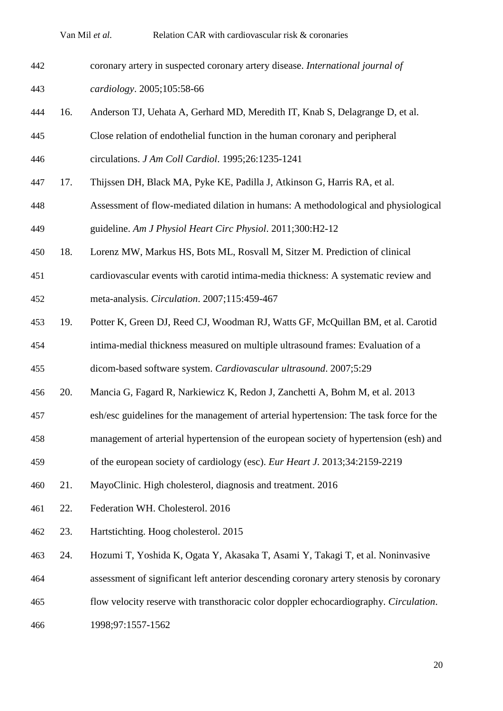| 442 | coronary artery in suspected coronary artery disease. International journal of |
|-----|--------------------------------------------------------------------------------|
| 443 | $cardiology. 2005; 105:58-66$                                                  |

16. Anderson TJ, Uehata A, Gerhard MD, Meredith IT, Knab S, Delagrange D, et al.

 Close relation of endothelial function in the human coronary and peripheral circulations. *J Am Coll Cardiol*. 1995;26:1235-1241

- 17. Thijssen DH, Black MA, Pyke KE, Padilla J, Atkinson G, Harris RA, et al.
- Assessment of flow-mediated dilation in humans: A methodological and physiological guideline. *Am J Physiol Heart Circ Physiol*. 2011;300:H2-12
- 18. Lorenz MW, Markus HS, Bots ML, Rosvall M, Sitzer M. Prediction of clinical
- cardiovascular events with carotid intima-media thickness: A systematic review and meta-analysis. *Circulation*. 2007;115:459-467
- 19. Potter K, Green DJ, Reed CJ, Woodman RJ, Watts GF, McQuillan BM, et al. Carotid
- intima-medial thickness measured on multiple ultrasound frames: Evaluation of a

dicom-based software system. *Cardiovascular ultrasound*. 2007;5:29

- 20. Mancia G, Fagard R, Narkiewicz K, Redon J, Zanchetti A, Bohm M, et al. 2013
- esh/esc guidelines for the management of arterial hypertension: The task force for the
- management of arterial hypertension of the european society of hypertension (esh) and
- of the european society of cardiology (esc). *Eur Heart J*. 2013;34:2159-2219
- 21. MayoClinic. High cholesterol, diagnosis and treatment. 2016
- 22. Federation WH. Cholesterol. 2016
- 23. Hartstichting. Hoog cholesterol. 2015
- 24. Hozumi T, Yoshida K, Ogata Y, Akasaka T, Asami Y, Takagi T, et al. Noninvasive
- assessment of significant left anterior descending coronary artery stenosis by coronary
- flow velocity reserve with transthoracic color doppler echocardiography. *Circulation*.
- 1998;97:1557-1562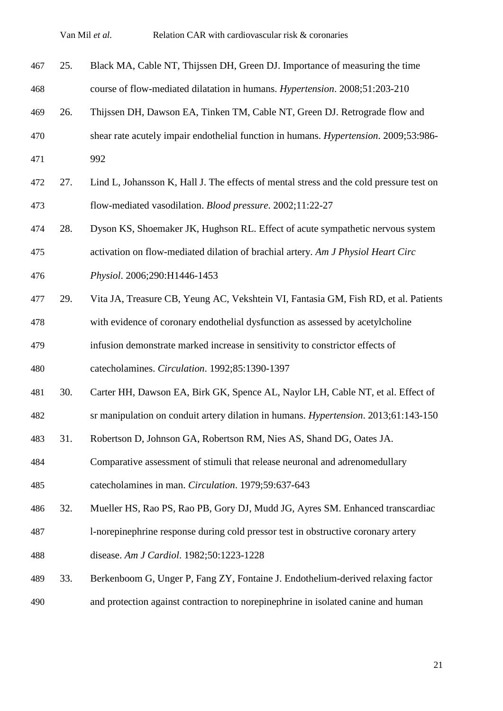| 467 | 25. | Black MA, Cable NT, Thijssen DH, Green DJ. Importance of measuring the time             |
|-----|-----|-----------------------------------------------------------------------------------------|
| 468 |     | course of flow-mediated dilatation in humans. Hypertension. 2008;51:203-210             |
| 469 | 26. | Thijssen DH, Dawson EA, Tinken TM, Cable NT, Green DJ. Retrograde flow and              |
| 470 |     | shear rate acutely impair endothelial function in humans. Hypertension. 2009;53:986-    |
| 471 |     | 992                                                                                     |
| 472 | 27. | Lind L, Johansson K, Hall J. The effects of mental stress and the cold pressure test on |
| 473 |     | flow-mediated vasodilation. Blood pressure. 2002;11:22-27                               |
| 474 | 28. | Dyson KS, Shoemaker JK, Hughson RL. Effect of acute sympathetic nervous system          |
| 475 |     | activation on flow-mediated dilation of brachial artery. Am J Physiol Heart Circ        |
| 476 |     | Physiol. 2006;290:H1446-1453                                                            |
| 477 | 29. | Vita JA, Treasure CB, Yeung AC, Vekshtein VI, Fantasia GM, Fish RD, et al. Patients     |
| 478 |     | with evidence of coronary endothelial dysfunction as assessed by acetylcholine          |
| 479 |     | infusion demonstrate marked increase in sensitivity to constrictor effects of           |
| 480 |     | catecholamines. Circulation. 1992;85:1390-1397                                          |
| 481 | 30. | Carter HH, Dawson EA, Birk GK, Spence AL, Naylor LH, Cable NT, et al. Effect of         |
| 482 |     | sr manipulation on conduit artery dilation in humans. Hypertension. 2013;61:143-150     |
| 483 | 31. | Robertson D, Johnson GA, Robertson RM, Nies AS, Shand DG, Oates JA.                     |
| 484 |     | Comparative assessment of stimuli that release neuronal and adrenomedullary             |
| 485 |     | catecholamines in man. Circulation. 1979;59:637-643                                     |
| 486 | 32. | Mueller HS, Rao PS, Rao PB, Gory DJ, Mudd JG, Ayres SM. Enhanced transcardiac           |
| 487 |     | 1-norepinephrine response during cold pressor test in obstructive coronary artery       |
| 488 |     | disease. Am J Cardiol. 1982;50:1223-1228                                                |
| 489 | 33. | Berkenboom G, Unger P, Fang ZY, Fontaine J. Endothelium-derived relaxing factor         |
| 490 |     | and protection against contraction to norepinephrine in isolated canine and human       |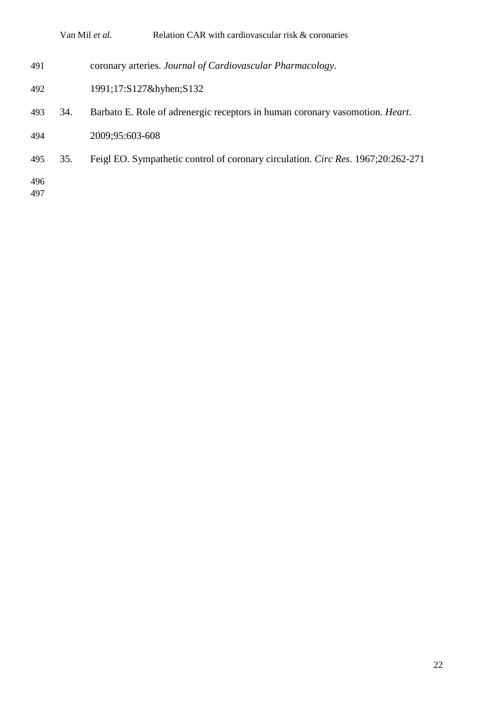|            |     | Relation CAR with cardiovascular risk & coronaries<br>Van Mil et al.                 |
|------------|-----|--------------------------------------------------------------------------------------|
| 491        |     | coronary arteries. Journal of Cardiovascular Pharmacology.                           |
| 492        |     | 1991;17:S127&hyhenS132                                                               |
| 493        | 34. | Barbato E. Role of adrenergic receptors in human coronary vasomotion. <i>Heart</i> . |
| 494        |     | 2009;95:603-608                                                                      |
| 495        | 35. | Feigl EO. Sympathetic control of coronary circulation. Circ Res. 1967;20:262-271     |
| 496<br>497 |     |                                                                                      |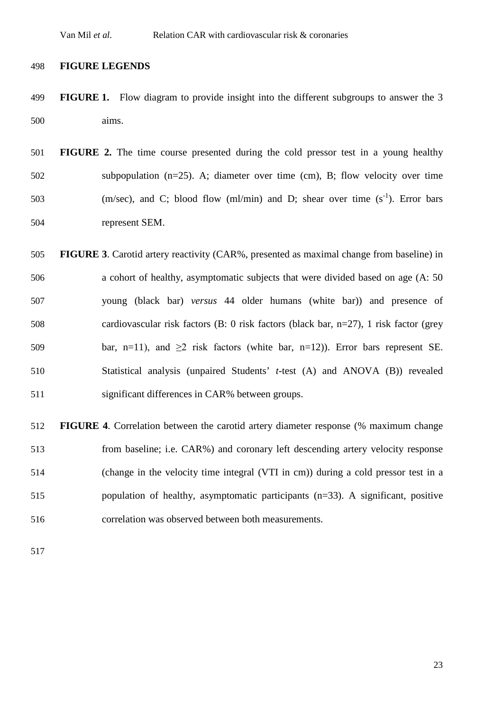### **FIGURE LEGENDS**

- **FIGURE 1.** Flow diagram to provide insight into the different subgroups to answer the 3 aims.
- **FIGURE 2.** The time course presented during the cold pressor test in a young healthy subpopulation (n=25). A; diameter over time (cm), B; flow velocity over time  $(m/sec)$ , and C; blood flow (ml/min) and D; shear over time  $(s<sup>-1</sup>)$ . Error bars represent SEM.
- **FIGURE 3**. Carotid artery reactivity (CAR%, presented as maximal change from baseline) in a cohort of healthy, asymptomatic subjects that were divided based on age (A: 50 young (black bar) *versus* 44 older humans (white bar)) and presence of cardiovascular risk factors (B: 0 risk factors (black bar, n=27), 1 risk factor (grey 509 bar, n=11), and  $\geq 2$  risk factors (white bar, n=12)). Error bars represent SE. Statistical analysis (unpaired Students' *t*-test (A) and ANOVA (B)) revealed significant differences in CAR% between groups.

 **FIGURE 4**. Correlation between the carotid artery diameter response (% maximum change from baseline; i.e. CAR%) and coronary left descending artery velocity response (change in the velocity time integral (VTI in cm)) during a cold pressor test in a population of healthy, asymptomatic participants (n=33). A significant, positive correlation was observed between both measurements.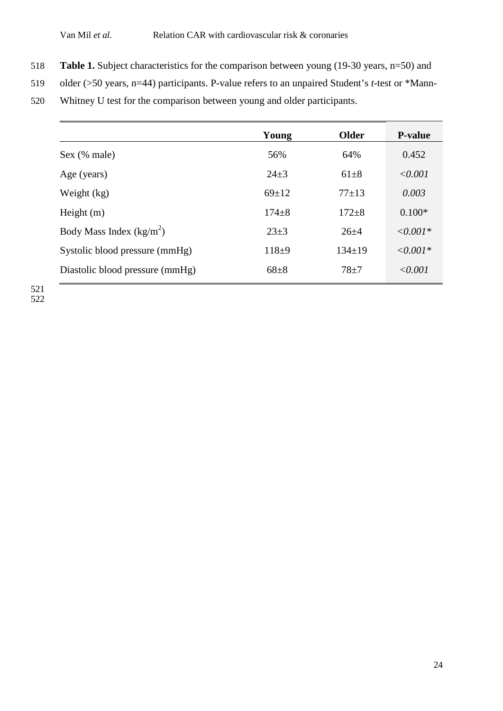- 518 **Table 1.** Subject characteristics for the comparison between young (19-30 years, n=50) and
- 519 older (>50 years, n=44) participants. P-value refers to an unpaired Student's *t*-test or \*Mann-
- 520 Whitney U test for the comparison between young and older participants.

|                                 | Young       | <b>Older</b> | <b>P-value</b>   |
|---------------------------------|-------------|--------------|------------------|
| Sex (% male)                    | 56%         | 64%          | 0.452            |
| Age (years)                     | $24 \pm 3$  | $61 + 8$     | $\le 0.001$      |
| Weight (kg)                     | $69 \pm 12$ | $77+13$      | 0.003            |
| Height $(m)$                    | $174 + 8$   | $172 + 8$    | $0.100*$         |
| Body Mass Index $(kg/m^2)$      | $23 \pm 3$  | $26 + 4$     | $\leq 0.001*$    |
| Systolic blood pressure (mmHg)  | $118+9$     | $134 \pm 19$ | $\langle 0.001*$ |
| Diastolic blood pressure (mmHg) | $68 + 8$    | $78 + 7$     | $\le 0.001$      |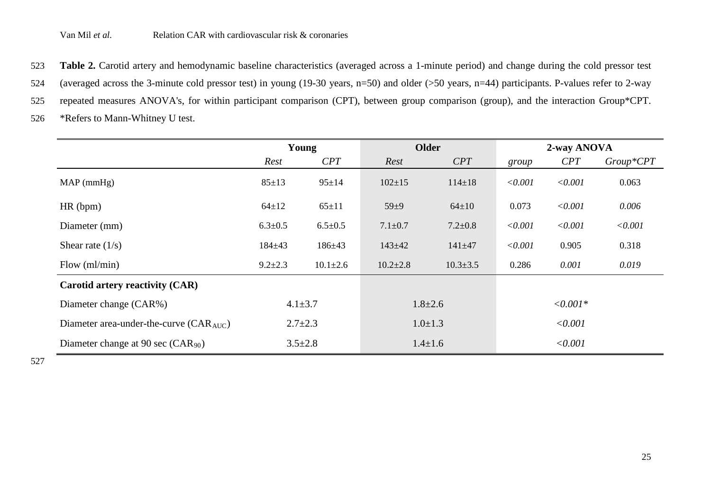523 **Table 2.** Carotid artery and hemodynamic baseline characteristics (averaged across a 1-minute period) and change during the cold pressor test

524 (averaged across the 3-minute cold pressor test) in young (19-30 years, n=50) and older (>50 years, n=44) participants. P-values refer to 2-way

525 repeated measures ANOVA's, for within participant comparison (CPT), between group comparison (group), and the interaction Group\*CPT.

526 \*Refers to Mann-Whitney U test.

|                                             | Young         |                | <b>Older</b>   |                | 2-way ANOVA |         |             |
|---------------------------------------------|---------------|----------------|----------------|----------------|-------------|---------|-------------|
|                                             | Rest          | CPT            | Rest           | CPT            | group       | CPT     | $Group*CPT$ |
| $MAP$ (mmHg)                                | $85 \pm 13$   | $95 \pm 14$    | $102 \pm 15$   | $114 \pm 18$   | < 0.001     | < 0.001 | 0.063       |
| HR (bpm)                                    | $64 \pm 12$   | $65 \pm 11$    | $59 + 9$       | $64 \pm 10$    | 0.073       | < 0.001 | 0.006       |
| Diameter (mm)                               | $6.3 \pm 0.5$ | $6.5 \pm 0.5$  | $7.1 \pm 0.7$  | $7.2 \pm 0.8$  | < 0.001     | < 0.001 | < 0.001     |
| Shear rate $(1/s)$                          | $184 + 43$    | $186 + 43$     | $143 + 42$     | $141 + 47$     | < 0.001     | 0.905   | 0.318       |
| Flow $(ml/min)$                             | $9.2 \pm 2.3$ | $10.1 \pm 2.6$ | $10.2 \pm 2.8$ | $10.3 \pm 3.5$ | 0.286       | 0.001   | 0.019       |
| Carotid artery reactivity (CAR)             |               |                |                |                |             |         |             |
| Diameter change (CAR%)                      | $4.1 \pm 3.7$ |                | $1.8 \pm 2.6$  |                | $<,0.001*$  |         |             |
| Diameter area-under-the-curve $(CAR_{AUC})$ | $2.7 \pm 2.3$ |                | $1.0 \pm 1.3$  |                | < 0.001     |         |             |
| Diameter change at 90 sec $(CAR_{90})$      |               | $3.5 \pm 2.8$  |                | $1.4 \pm 1.6$  |             | < 0.001 |             |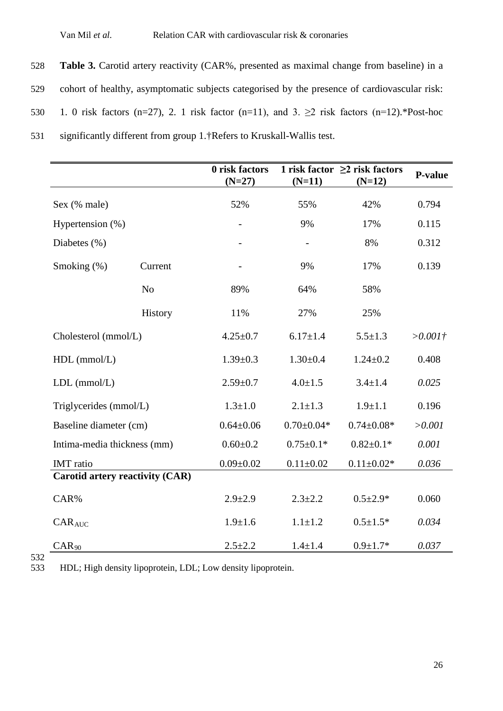**Table 3.** Carotid artery reactivity (CAR%, presented as maximal change from baseline) in a cohort of healthy, asymptomatic subjects categorised by the presence of cardiovascular risk: 530 1. 0 risk factors (n=27), 2. 1 risk factor (n=11), and 3.  $\geq$  2 risk factors (n=12).\*Post-hoc significantly different from group 1.†Refers to Kruskall-Wallis test.

|                                        |                | 0 risk factors<br>$(N=27)$ | $(N=11)$         | 1 risk factor $\geq$ risk factors<br>$(N=12)$ | P-value    |
|----------------------------------------|----------------|----------------------------|------------------|-----------------------------------------------|------------|
| Sex (% male)                           |                | 52%                        | 55%              | 42%                                           | 0.794      |
| Hypertension (%)                       |                |                            | 9%               | 17%                                           | 0.115      |
| Diabetes $(\%)$                        |                |                            |                  | 8%                                            | 0.312      |
| Smoking $(\%)$                         | Current        |                            | 9%               | 17%                                           | 0.139      |
|                                        | N <sub>o</sub> | 89%                        | 64%              | 58%                                           |            |
|                                        | History        | 11%                        | 27%              | 25%                                           |            |
| Cholesterol (mmol/L)                   |                | $4.25 \pm 0.7$             | $6.17 \pm 1.4$   | $5.5 \pm 1.3$                                 | $>0.001$ † |
| $HDL$ (mmol/L)                         |                | $1.39 \pm 0.3$             | $1.30 \pm 0.4$   | $1.24 \pm 0.2$                                | 0.408      |
| $LDL$ (mmol/ $L$ )                     |                |                            | $4.0 \pm 1.5$    | $3.4 \pm 1.4$                                 | 0.025      |
| Triglycerides (mmol/L)                 |                | $1.3 \pm 1.0$              | $2.1 \pm 1.3$    | $1.9 \pm 1.1$                                 | 0.196      |
| Baseline diameter (cm)                 |                | $0.64 \pm 0.06$            | $0.70 \pm 0.04*$ | $0.74 \pm 0.08*$                              | >0.001     |
| Intima-media thickness (mm)            |                | $0.60 \pm 0.2$             | $0.75 \pm 0.1*$  | $0.82 \pm 0.1*$                               | 0.001      |
| <b>IMT</b> ratio                       |                | $0.09 \pm 0.02$            | $0.11 \pm 0.02$  | $0.11 \pm 0.02*$                              | 0.036      |
| <b>Carotid artery reactivity (CAR)</b> |                |                            |                  |                                               |            |
| CAR%                                   |                | $2.9 \pm 2.9$              | $2.3 + 2.2$      | $0.5 \pm 2.9*$                                | 0.060      |
| $CAR_{AUC}$                            |                | $1.9 \pm 1.6$              | $1.1 + 1.2$      | $0.5 \pm 1.5*$                                | 0.034      |
| $CAR_{90}$                             |                | $2.5 + 2.2$                | $1.4 + 1.4$      | $0.9 + 1.7*$                                  | 0.037      |

532<br>533

533 HDL; High density lipoprotein, LDL; Low density lipoprotein.